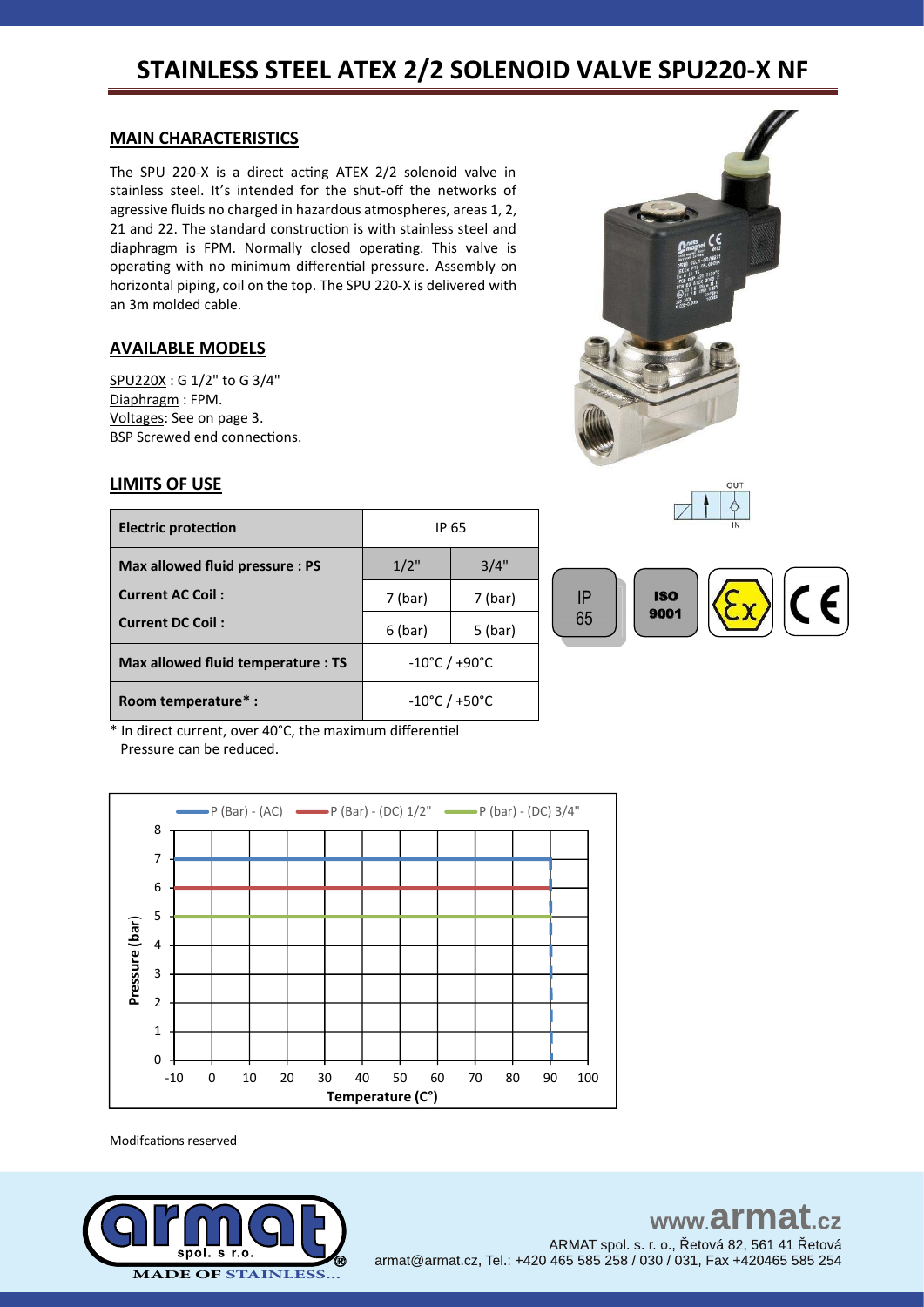### **MAIN CHARACTERISTICS**

The SPU 220-X is a direct acting ATEX 2/2 solenoid valve in stainless steel. It's intended for the shut-off the networks of agressive fluids no charged in hazardous atmospheres, areas 1, 2, 21 and 22. The standard construction is with stainless steel and diaphragm is FPM. Normally closed operating. This valve is operating with no minimum differential pressure. Assembly on horizontal piping, coil on the top. The SPU 220-X is delivered with an 3m molded cable.

## **AVAILABLE MODELS**

SPU220X : G 1/2" to G 3/4" Diaphragm : FPM. Voltages: See on page 3. BSP Screwed end connections.





## **LIMITS OF USE**

| <b>Electric protection</b>             | IP 65                              |           |
|----------------------------------------|------------------------------------|-----------|
| 1/2"<br>Max allowed fluid pressure: PS |                                    | 3/4"      |
| <b>Current AC Coil:</b>                | 7 (bar)                            | 7 (bar)   |
| <b>Current DC Coil:</b>                | 6 (bar)                            | $5$ (bar) |
| Max allowed fluid temperature : TS     | $-10^{\circ}$ C / +90 $^{\circ}$ C |           |
| Room temperature*:                     | $-10^{\circ}$ C / +50 $^{\circ}$ C |           |



\* In direct current, over 40°C, the maximum differentiel Pressure can be reduced.



Modifcations reserved

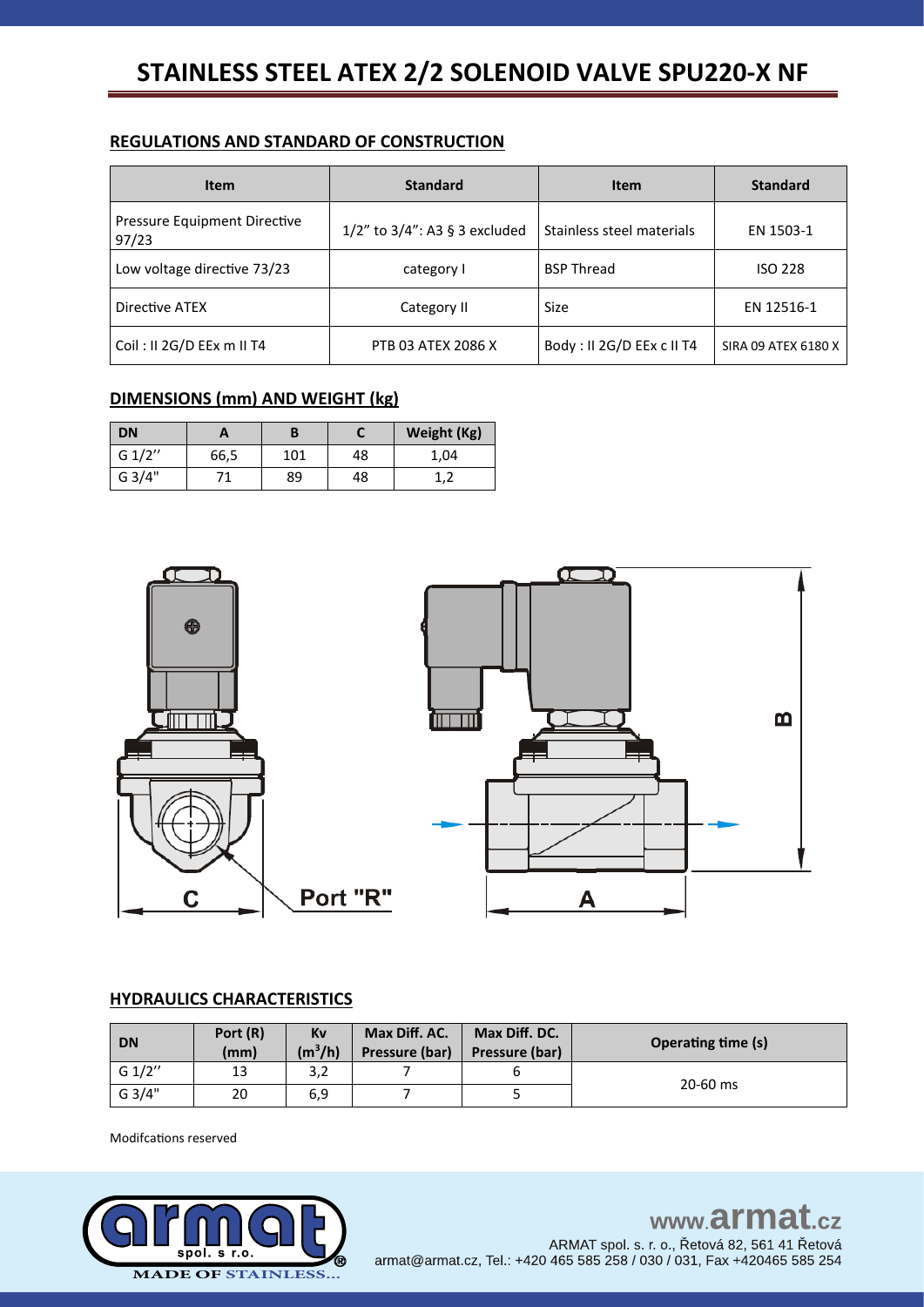## **REGULATIONS AND STANDARD OF CONSTRUCTION**

| <b>Item</b>                           | <b>Standard</b>                     | <b>Item</b>               | <b>Standard</b>     |
|---------------------------------------|-------------------------------------|---------------------------|---------------------|
| Pressure Equipment Directive<br>97/23 | $1/2$ " to $3/4$ ": A3 § 3 excluded | Stainless steel materials | EN 1503-1           |
| Low voltage directive 73/23           | category I                          | <b>BSP Thread</b>         | <b>ISO 228</b>      |
| Directive ATEX                        | Category II                         | Size                      | EN 12516-1          |
| Coil: II 2G/D EEx m II T4             | PTB 03 ATEX 2086 X                  | Body: II 2G/D EEx c II T4 | SIRA 09 ATEX 6180 X |

## **DIMENSIONS (mm) AND WEIGHT (kg)**

| <b>DN</b> | A    |     |    | Weight (Kg) |
|-----------|------|-----|----|-------------|
| G 1/2"    | 66,5 | 101 | 48 | 1,04        |
| G 3/4"    |      | 89  | 48 | ∸,∠         |



### **HYDRAULICS CHARACTERISTICS**

| <b>DN</b> | Port (R)<br>(mm) | Kv<br>$(m^3/h)$ | Max Diff. AC.<br>Pressure (bar) | Max Diff. DC.<br>Pressure (bar) | <b>Operating time (s)</b> |  |
|-----------|------------------|-----------------|---------------------------------|---------------------------------|---------------------------|--|
| G $1/2"$  | 13               | 3,2             |                                 |                                 | 20-60 ms                  |  |
| G 3/4"    | 20               | 6,9             |                                 |                                 |                           |  |

Modifcations reserved

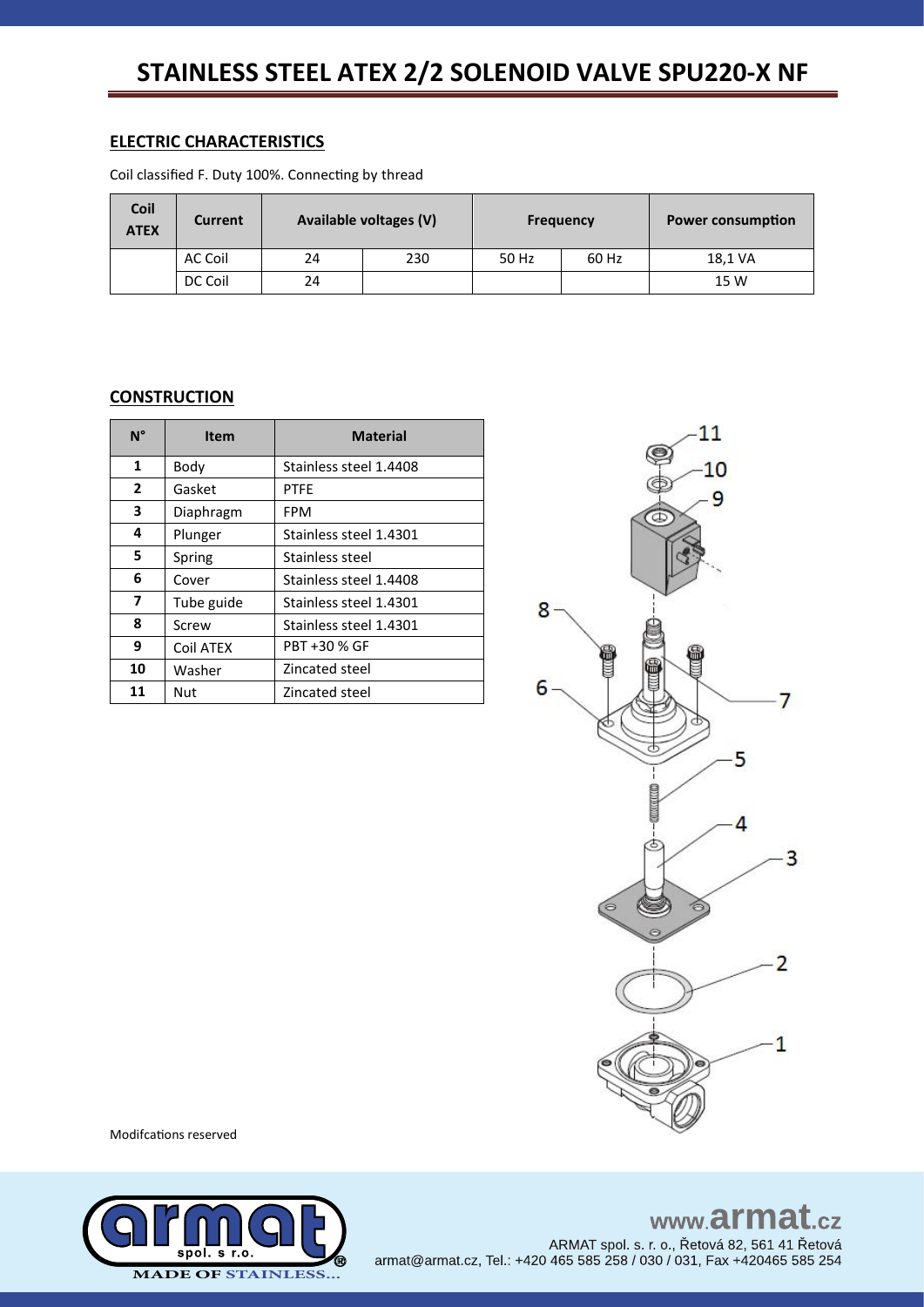### **ELECTRIC CHARACTERISTICS**

Coil classified F. Duty 100%. Connecting by thread

| Coil<br><b>ATEX</b> | <b>Current</b> |    | Available voltages (V) |       | <b>Frequency</b> | <b>Power consumption</b> |
|---------------------|----------------|----|------------------------|-------|------------------|--------------------------|
|                     | AC Coil        | 24 | 230                    | 50 Hz | 60 Hz            | 18,1 VA                  |
|                     | DC Coil        | 24 |                        |       |                  | 15 W                     |

### **CONSTRUCTION**

| $N^{\circ}$  | <b>Item</b> | <b>Material</b>        |
|--------------|-------------|------------------------|
| $\mathbf{1}$ | Body        | Stainless steel 1.4408 |
| $\mathbf{2}$ | Gasket      | <b>PTFF</b>            |
| 3            | Diaphragm   | FPM                    |
| 4            | Plunger     | Stainless steel 1.4301 |
| 5.           | Spring      | Stainless steel        |
| 6            | Cover       | Stainless steel 1.4408 |
| 7            | Tube guide  | Stainless steel 1.4301 |
| 8            | Screw       | Stainless steel 1.4301 |
| 9            | Coil ATEX   | PBT +30 % GF           |
| 10           | Washer      | Zincated steel         |
| 11           | Nut         | Zincated steel         |



Modifcations reserved



www.armat.cz ARMAT spol. s. r. o., Řetová 82, 561 41 Řetová armat@armat.cz, Tel.: +420 465 585 258 / 030 / 031, Fax +420465 585 254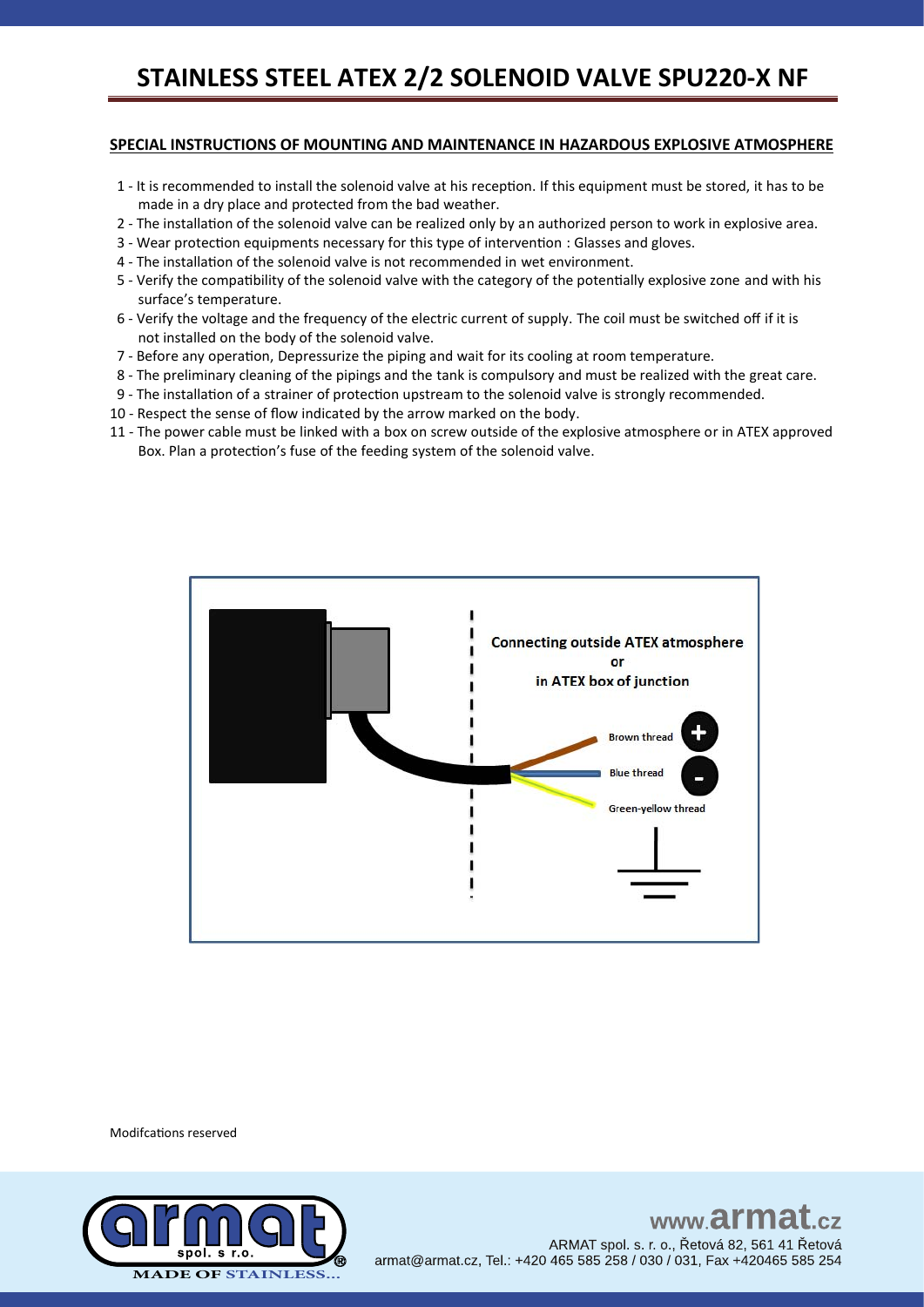#### **SPECIAL INSTRUCTIONS OF MOUNTING AND MAINTENANCE IN HAZARDOUS EXPLOSIVE ATMOSPHERE**

- 1 It is recommended to install the solenoid valve at his reception. If this equipment must be stored, it has to be made in a dry place and protected from the bad weather.
- 2 The installation of the solenoid valve can be realized only by an authorized person to work in explosive area.
- 3 Wear protection equipments necessary for this type of intervention : Glasses and gloves.
- 4 The installation of the solenoid valve is not recommended in wet environment.
- 5 Verify the compatibility of the solenoid valve with the category of the potentially explosive zone and with his surface's temperature.
- 6 Verify the voltage and the frequency of the electric current of supply. The coil must be switched off if it is not installed on the body of the solenoid valve.
- 7 Before any operation, Depressurize the piping and wait for its cooling at room temperature.
- 8 The preliminary cleaning of the pipings and the tank is compulsory and must be realized with the great care.
- 9 The installation of a strainer of protection upstream to the solenoid valve is strongly recommended.
- 10 Respect the sense of flow indicated by the arrow marked on the body.
- 11 The power cable must be linked with a box on screw outside of the explosive atmosphere or in ATEX approved Box. Plan a protection's fuse of the feeding system of the solenoid valve.



Modifcations reserved



www.armat ARMAT spol. s. r. o., Řetová 82, 561 41 Řetová armat@armat.cz, Tel.: +420 465 585 258 / 030 / 031, Fax +420465 585 254